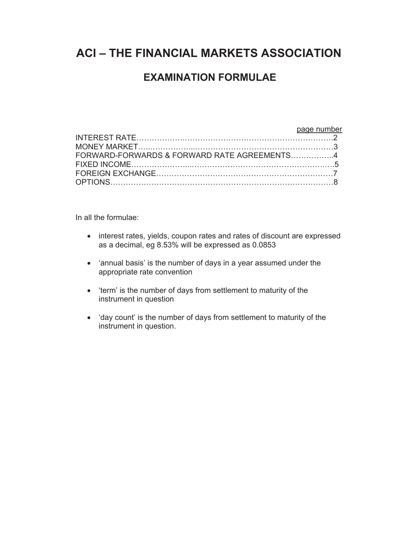# **ACI – THE FINANCIAL MARKETS ASSOCIATION**

# **EXAMINATION FORMULAE**

#### page number INTEREST RATE……………….………………………………………………….2 MONEY MARKET…..……………...………………………………………………3 FORWARD-FORWARDS & FORWARD RATE AGREEMENTS……………..4 FIXED INCOME…………………...…………………………………………….….5 FOREIGN EXCHANGE……………………………………………………………7 OPTIONS……………………………………………………………………………8

In all the formulae:

- interest rates, yields, coupon rates and rates of discount are expressed as a decimal, eg 8.53% will be expressed as 0.0853
- 'annual basis' is the number of days in a year assumed under the appropriate rate convention
- 'term' is the number of days from settlement to maturity of the instrument in question
- 'day count' is the number of days from settlement to maturity of the instrument in question.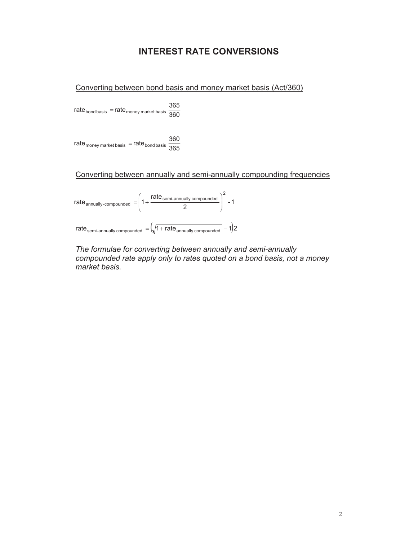# **INTEREST RATE CONVERSIONS**

Converting between bond basis and money market basis (Act/360)

 $\mathsf{rate}_\mathsf{bond \, basis} = \mathsf{rate}_\mathsf{money}$  market basis  $\frac{365}{360}$ 

 $\mathsf{rate}_\mathsf{money}$  market basis  $\; =$   $\mathsf{rate}_\mathsf{bond}$  basis  $\; \frac{360}{365}$ 

Converting between annually and semi-annually compounding frequencies



*The formulae for converting between annually and semi-annually compounded rate apply only to rates quoted on a bond basis, not a money market basis.*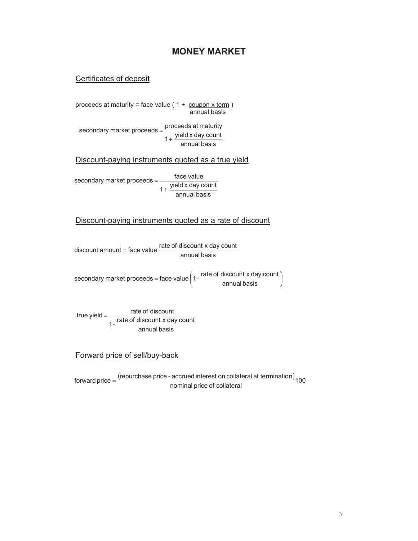# **MONEY MARKET**

#### Certificates of deposit

proceeds at maturity = face value  $(1 + \frac{\text{coupon x term}}{\text{coupon x}})$ annual basis

 $1 + \frac{yield \times day \text{ count}}{annual \text{ basis}}$ secondary market proceeds =  $\frac{\text{proceeds at maturity}}{\text{procent}}$  $^{+}$  $=$ 

Discount-paying instruments quoted as a true yield

 $1 + \frac{\text{yield } x \text{ day count}}{\text{annual basis}}$ face value<br>
secondary market proceeds = <u>exists relative</u>  $^{+}$  $=$ 

#### Discount-paying instruments quoted as a rate of discount

discount amount = face value rate of discount x day count<br>annual basis

 $\frac{1}{2}$ ¹  $\left( 1 - \frac{\text{rate of discount x day count}}{1 - \frac{\text{rate of time}}{1 - \text{rate}}}\right)$  $\backslash$  $\text{secondary market proceeds} = \text{face value} \bigg( 1 - \frac{\text{rate of discount x day count}}{\text{annual basis}}$ 

annual basis 1 - rate of discount x day count true yield  $=\frac{\text{rate of discount}}{\text{rate of discount with about } \frac{1}{2}}$ 

#### Forward price of sell/buy-back

forward price  $=$   $\frac{\text{(repurchase price - accrued interest on collateral at termination)}}{100}$ nominal price of collateral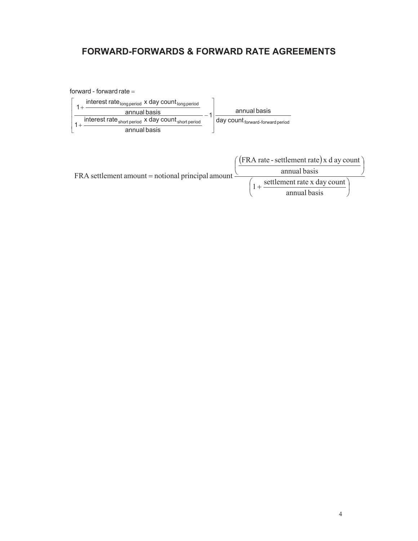# **FORWARD-FORWARDS & FORWARD RATE AGREEMENTS**

#### forward - forward rate  $=$ interest rate long period x day count long period  $1 +$ annual basis annual basis interest rate short period x day count short period day count forward-forward period  $1 + \frac{1}{2}$ annual basis (FRA rate - settlement rate) x d ay count

annual basis FRA settlement amount = notional principal amount  $1 + \frac{\text{setlement rate} \times \text{day count}}{1 + \text{set} \times \text{set}}$ annual basis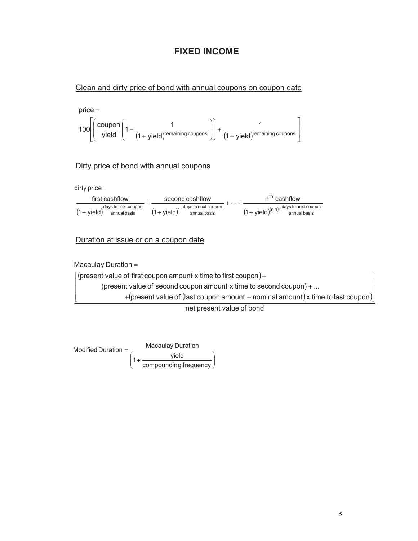# **FIXED INCOME**

#### Clean and dirty price of bond with annual coupons on coupon date



#### Dirty price of bond with annual coupons

dirty price

| first cashflow                                                    | second cashflow                                                                   | n <sup>th</sup> cashflow                                       |  |
|-------------------------------------------------------------------|-----------------------------------------------------------------------------------|----------------------------------------------------------------|--|
| days to next coupon<br>$(1 +$ yield) <sup>-</sup><br>annual basis | days to next coupon<br>$(1 + yield)^{1 + \frac{2(1 + 1)(1 + 1)}{2}}$ annual basis | days to next coupon<br>$(1 + yield)^{(n-1)+1}$<br>annual basis |  |

#### Duration at issue or on a coupon date

Macaulay Duration

 $\mathbf{r}$  $\overline{\phantom{a}}$ 

¬

 $\mid$  (present value of first coupon amount x time to first coupon)  $+$  $\overline{\phantom{a}}$ 

(present value of second coupon amount  $x$  time to second coupon)  $+ \dots$ 

 $+$ (present value of (last coupon amount  $+$  nominal amount) ${\sf x}$  time to last coupon) $\rfloor$ »

net present value of bond



»  $\overline{\phantom{a}}$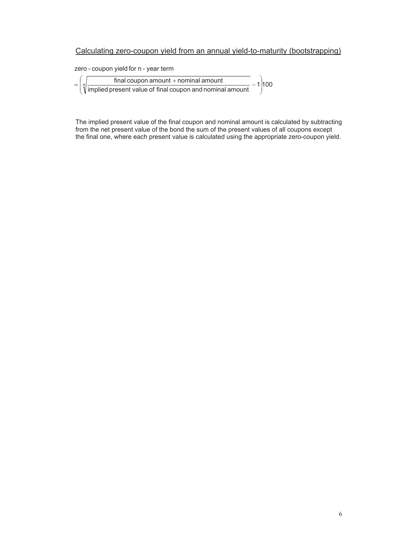### Calculating zero-coupon yield from an annual yield-to-maturity (bootstrapping)

zero - coupon yield for n - year term

|  |                                                                             | final coupon amount $+$ nominal amount |  | 1100 |
|--|-----------------------------------------------------------------------------|----------------------------------------|--|------|
|  | $\hat{\mathbf{y}}$ implied present value of final coupon and nominal amount |                                        |  |      |

The implied present value of the final coupon and nominal amount is calculated by subtracting from the net present value of the bond the sum of the present values of all coupons except the final one, where each present value is calculated using the appropriate zero-coupon yield.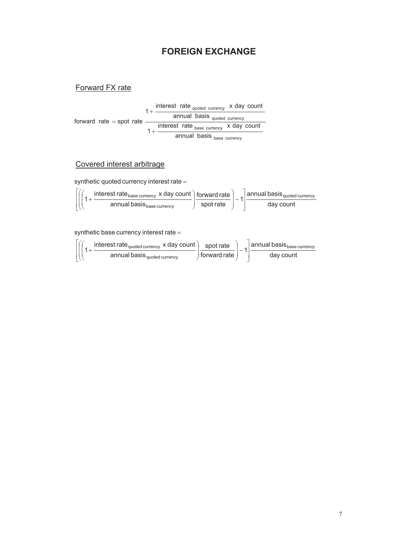# **FOREIGN EXCHANGE**

## Forward FX rate

1+  $\frac{\text{interest rate}}{\text{current}}$  interest rate  $\frac{\text{quoted current}}{\text{current}}$ annual basis <sub>quoted</sub> currency  $1 + \frac{\text{interest rate}_{\text{base currency}} \times \text{day count}}{2\pi\sqrt{3}}$ forward rate = spot rate annual basis base currency

## Covered interest arbitrage

synthetic quoted currency interest rate =

$$
\left[\left(\left(1+\frac{\text{interest rate}_{\text{base currency}} \times \text{day count}}{\text{annual basis}_{\text{base currency}}}\right)\frac{\text{forward rate}}{\text{spot rate}}\right)-1\right]\frac{\text{annual basis}_{\text{quoted currency}}}{\text{day count}}
$$

synthetic base currency interest rate =

$$
\left[\left(\left(1+\frac{\text{interest rate}_{\text{quoted currency}} \times \text{day count}}{\text{annual basis}_{\text{quoted currency}}}\right)\frac{\text{spot rate}}{\text{forward rate}}\right)-1\right] \frac{\text{annual basis}_{\text{base currency}}}{\text{day count}}
$$